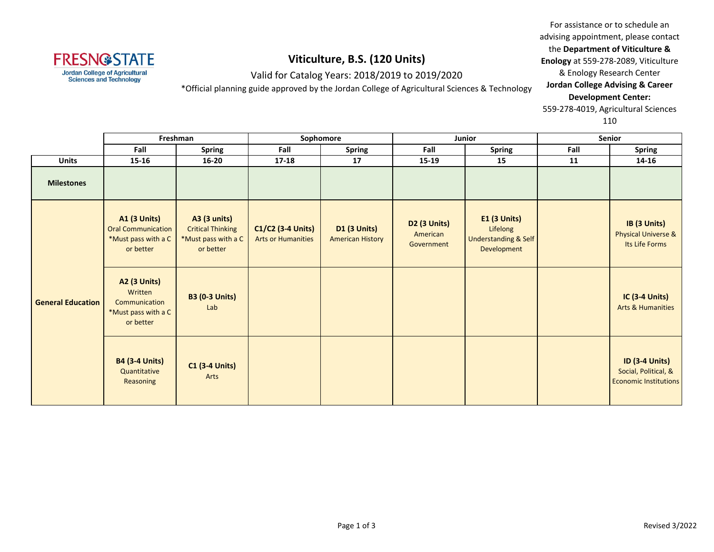

Valid for Catalog Years: 2018/2019 to 2019/2020

\*Official planning guide approved by the Jordan College of Agricultural Sciences & Technology

For assistance or to schedule an advising appointment, please contact the **Department of Viticulture & Enology** at 559-278-2089, Viticulture & Enology Research Center **Jordan College Advising & Career Development Center:** 559-278-4019, Agricultural Sciences

|                          | Freshman                                                                             |                                                                              | Sophomore                                      |                                                | Junior                                        |                                                                                   | Senior |                                                                               |
|--------------------------|--------------------------------------------------------------------------------------|------------------------------------------------------------------------------|------------------------------------------------|------------------------------------------------|-----------------------------------------------|-----------------------------------------------------------------------------------|--------|-------------------------------------------------------------------------------|
|                          | Fall                                                                                 | <b>Spring</b>                                                                | Fall                                           | <b>Spring</b>                                  | Fall                                          | <b>Spring</b>                                                                     | Fall   | <b>Spring</b>                                                                 |
| <b>Units</b>             | $15 - 16$                                                                            | $16 - 20$                                                                    | $17 - 18$                                      | 17                                             | 15-19                                         | 15                                                                                | 11     | 14-16                                                                         |
| <b>Milestones</b>        |                                                                                      |                                                                              |                                                |                                                |                                               |                                                                                   |        |                                                                               |
| <b>General Education</b> | <b>A1 (3 Units)</b><br><b>Oral Communication</b><br>*Must pass with a C<br>or better | A3 (3 units)<br><b>Critical Thinking</b><br>*Must pass with a C<br>or better | C1/C2 (3-4 Units)<br><b>Arts or Humanities</b> | <b>D1 (3 Units)</b><br><b>American History</b> | <b>D2 (3 Units)</b><br>American<br>Government | <b>E1 (3 Units)</b><br>Lifelong<br><b>Understanding &amp; Self</b><br>Development |        | IB (3 Units)<br><b>Physical Universe &amp;</b><br>Its Life Forms              |
|                          | <b>A2 (3 Units)</b><br>Written<br>Communication<br>*Must pass with a C<br>or better  | <b>B3 (0-3 Units)</b><br>Lab                                                 |                                                |                                                |                                               |                                                                                   |        | <b>IC (3-4 Units)</b><br><b>Arts &amp; Humanities</b>                         |
|                          | <b>B4 (3-4 Units)</b><br>Quantitative<br>Reasoning                                   | <b>C1 (3-4 Units)</b><br>Arts                                                |                                                |                                                |                                               |                                                                                   |        | <b>ID (3-4 Units)</b><br>Social, Political, &<br><b>Economic Institutions</b> |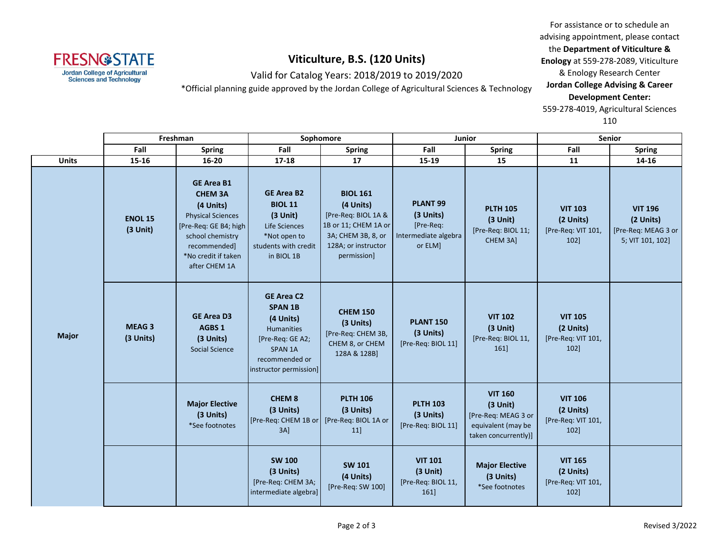

Valid for Catalog Years: 2018/2019 to 2019/2020

\*Official planning guide approved by the Jordan College of Agricultural Sciences & Technology

For assistance or to schedule an advising appointment, please contact the **Department of Viticulture & Enology** at 559-278-2089, Viticulture & Enology Research Center **Jordan College Advising & Career Development Center:** 559-278-4019, Agricultural Sciences

|              | Freshman                     |                                                                                                                                                                                   | Sophomore                                                                                                                                               |                                                                                                                                         | Junior                                                                           |                                                                                                   | Senior                                                       |                                                                        |
|--------------|------------------------------|-----------------------------------------------------------------------------------------------------------------------------------------------------------------------------------|---------------------------------------------------------------------------------------------------------------------------------------------------------|-----------------------------------------------------------------------------------------------------------------------------------------|----------------------------------------------------------------------------------|---------------------------------------------------------------------------------------------------|--------------------------------------------------------------|------------------------------------------------------------------------|
|              | Fall                         | <b>Spring</b>                                                                                                                                                                     | Fall                                                                                                                                                    | <b>Spring</b>                                                                                                                           | Fall                                                                             | <b>Spring</b>                                                                                     | Fall                                                         | <b>Spring</b>                                                          |
| <b>Units</b> | 15-16                        | $16 - 20$                                                                                                                                                                         | 17-18                                                                                                                                                   | 17                                                                                                                                      | 15-19                                                                            | 15                                                                                                | 11                                                           | 14-16                                                                  |
| <b>Major</b> | <b>ENOL 15</b><br>$(3$ Unit) | <b>GE Area B1</b><br><b>CHEM 3A</b><br>(4 Units)<br><b>Physical Sciences</b><br>[Pre-Req: GE B4; high<br>school chemistry<br>recommended]<br>*No credit if taken<br>after CHEM 1A | <b>GE Area B2</b><br><b>BIOL 11</b><br>$(3$ Unit)<br>Life Sciences<br>*Not open to<br>students with credit<br>in BIOL 1B                                | <b>BIOL 161</b><br>(4 Units)<br>[Pre-Req: BIOL 1A &<br>1B or 11; CHEM 1A or<br>3A; CHEM 3B, 8, or<br>128A; or instructor<br>permission] | PLANT <sub>99</sub><br>(3 Units)<br>[Pre-Req:<br>Intermediate algebra<br>or ELM] | <b>PLTH 105</b><br>$(3$ Unit)<br>[Pre-Req: BIOL 11;<br>CHEM 3A]                                   | <b>VIT 103</b><br>(2 Units)<br>[Pre-Req: VIT 101,<br>$102$ ] | <b>VIT 196</b><br>(2 Units)<br>[Pre-Req: MEAG 3 or<br>5; VIT 101, 102] |
|              | <b>MEAG3</b><br>(3 Units)    | <b>GE Area D3</b><br>AGBS 1<br>(3 Units)<br><b>Social Science</b>                                                                                                                 | <b>GE Area C2</b><br><b>SPAN 1B</b><br>(4 Units)<br><b>Humanities</b><br>[Pre-Req: GE A2;<br><b>SPAN 1A</b><br>recommended or<br>instructor permission] | <b>CHEM 150</b><br>(3 Units)<br>[Pre-Req: CHEM 3B,<br>CHEM 8, or CHEM<br>128A & 128B]                                                   | <b>PLANT 150</b><br>(3 Units)<br>[Pre-Req: BIOL 11]                              | <b>VIT 102</b><br>$(3$ Unit)<br>[Pre-Req: BIOL 11,<br>161]                                        | <b>VIT 105</b><br>(2 Units)<br>[Pre-Req: VIT 101,<br>102]    |                                                                        |
|              |                              | <b>Major Elective</b><br>(3 Units)<br>*See footnotes                                                                                                                              | <b>CHEM 8</b><br>(3 Units)<br>[Pre-Req: CHEM 1B or<br>$3A$ ]                                                                                            | <b>PLTH 106</b><br>(3 Units)<br>[Pre-Req: BIOL 1A or<br>$11$ ]                                                                          | <b>PLTH 103</b><br>(3 Units)<br>[Pre-Req: BIOL 11]                               | <b>VIT 160</b><br>$(3$ Unit)<br>[Pre-Req: MEAG 3 or<br>equivalent (may be<br>taken concurrently)] | <b>VIT 106</b><br>(2 Units)<br>[Pre-Req: VIT 101,<br>102]    |                                                                        |
|              |                              |                                                                                                                                                                                   | <b>SW 100</b><br>(3 Units)<br>[Pre-Req: CHEM 3A;<br>intermediate algebra]                                                                               | <b>SW 101</b><br>(4 Units)<br>[Pre-Req: SW 100]                                                                                         | <b>VIT 101</b><br>$(3$ Unit)<br>[Pre-Req: BIOL 11,<br>161                        | <b>Major Elective</b><br>(3 Units)<br>*See footnotes                                              | <b>VIT 165</b><br>(2 Units)<br>[Pre-Req: VIT 101,<br>$102$ ] |                                                                        |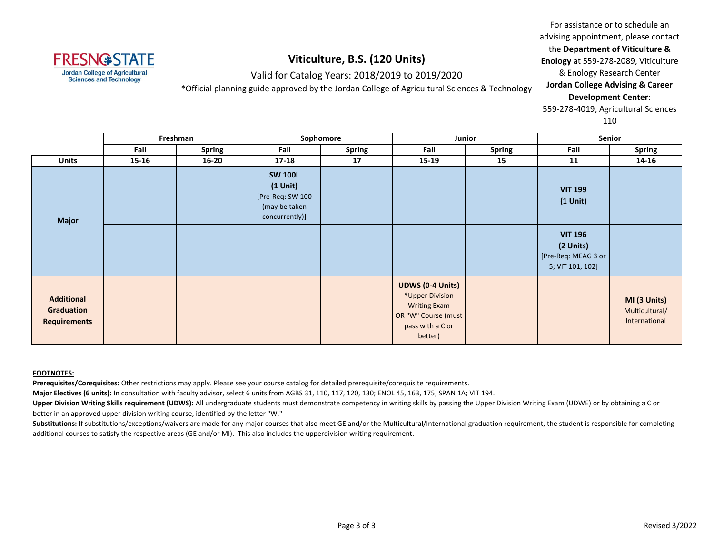

Valid for Catalog Years: 2018/2019 to 2019/2020

\*Official planning guide approved by the Jordan College of Agricultural Sciences & Technology

For assistance or to schedule an advising appointment, please contact the **Department of Viticulture & Enology** at 559-278-2089, Viticulture & Enology Research Center **Jordan College Advising & Career Development Center:** 559-278-4019, Agricultural Sciences

110

|                                                        | Freshman  |               | Sophomore                                                                           |               | Junior                                                                                                           |               | Senior                                                                 |                                                 |
|--------------------------------------------------------|-----------|---------------|-------------------------------------------------------------------------------------|---------------|------------------------------------------------------------------------------------------------------------------|---------------|------------------------------------------------------------------------|-------------------------------------------------|
|                                                        | Fall      | <b>Spring</b> | Fall                                                                                | <b>Spring</b> | Fall                                                                                                             | <b>Spring</b> | Fall                                                                   | <b>Spring</b>                                   |
| <b>Units</b>                                           | $15 - 16$ | $16 - 20$     | $17 - 18$                                                                           | 17            | $15 - 19$                                                                                                        | 15            | 11                                                                     | 14-16                                           |
| <b>Major</b>                                           |           |               | <b>SW 100L</b><br>$(1$ Unit)<br>[Pre-Req: SW 100<br>(may be taken<br>concurrently)] |               |                                                                                                                  |               | <b>VIT 199</b><br>$(1$ Unit $)$                                        |                                                 |
|                                                        |           |               |                                                                                     |               |                                                                                                                  |               | <b>VIT 196</b><br>(2 Units)<br>[Pre-Req: MEAG 3 or<br>5; VIT 101, 102] |                                                 |
| <b>Additional</b><br>Graduation<br><b>Requirements</b> |           |               |                                                                                     |               | UDWS (0-4 Units)<br>*Upper Division<br><b>Writing Exam</b><br>OR "W" Course (must<br>pass with a C or<br>better) |               |                                                                        | MI (3 Units)<br>Multicultural/<br>International |

#### **FOOTNOTES:**

**Prerequisites/Corequisites:** Other restrictions may apply. Please see your course catalog for detailed prerequisite/corequisite requirements.

**Major Electives (6 units):** In consultation with faculty advisor, select 6 units from AGBS 31, 110, 117, 120, 130; ENOL 45, 163, 175; SPAN 1A; VIT 194.

Upper Division Writing Skills requirement (UDWS): All undergraduate students must demonstrate competency in writing skills by passing the Upper Division Writing Exam (UDWE) or by obtaining a C or better in an approved upper division writing course, identified by the letter "W."

Substitutions: If substitutions/exceptions/waivers are made for any major courses that also meet GE and/or the Multicultural/International graduation requirement, the student is responsible for completing additional courses to satisfy the respective areas (GE and/or MI). This also includes the upperdivision writing requirement.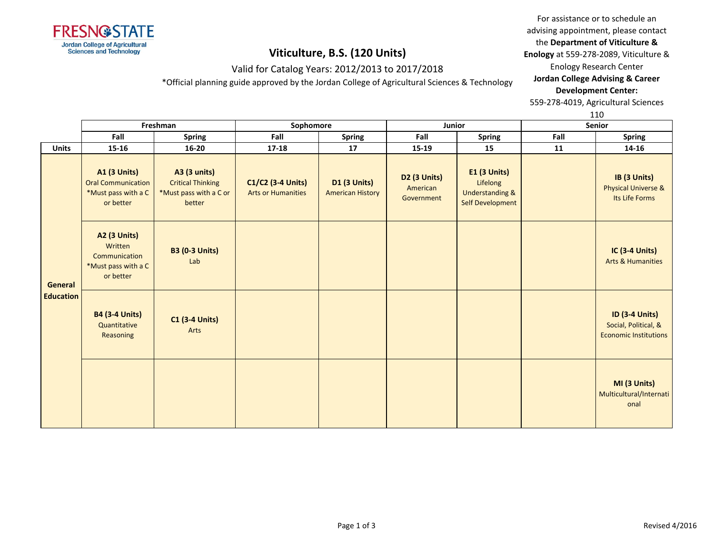

# **Viticulture, B.S. (120 Units)** Valid for Catalog Years: 2012/2013 to 2017/2018

\*Official planning guide approved by the Jordan College of Agricultural Sciences & Technology

### advising appointment, please contact the **Department of Viticulture &**

For assistance or to schedule an

**Enology** at 559-278-2089, Viticulture &

Enology Research Center

### **Jordan College Advising & Career Development Center:**

559-278-4019, Agricultural Sciences

|                             |                                                                                      |                                                                                     |                                                |                                         |                                               |                                                                              |        | TTO                                                                           |
|-----------------------------|--------------------------------------------------------------------------------------|-------------------------------------------------------------------------------------|------------------------------------------------|-----------------------------------------|-----------------------------------------------|------------------------------------------------------------------------------|--------|-------------------------------------------------------------------------------|
|                             |                                                                                      | Freshman                                                                            | Sophomore                                      |                                         | Junior                                        |                                                                              | Senior |                                                                               |
|                             | Fall                                                                                 | <b>Spring</b>                                                                       | Fall                                           | Spring                                  | Fall                                          | <b>Spring</b>                                                                | Fall   | <b>Spring</b>                                                                 |
| <b>Units</b>                | 15-16                                                                                | $16 - 20$                                                                           | $17 - 18$                                      | 17                                      | 15-19                                         | 15                                                                           | 11     | 14-16                                                                         |
| General<br><b>Education</b> | <b>A1 (3 Units)</b><br><b>Oral Communication</b><br>*Must pass with a C<br>or better | <b>A3 (3 units)</b><br><b>Critical Thinking</b><br>*Must pass with a C or<br>better | C1/C2 (3-4 Units)<br><b>Arts or Humanities</b> | D1 (3 Units)<br><b>American History</b> | <b>D2 (3 Units)</b><br>American<br>Government | $E1$ (3 Units)<br>Lifelong<br><b>Understanding &amp;</b><br>Self Development |        | IB (3 Units)<br>Physical Universe &<br>Its Life Forms                         |
|                             | <b>A2 (3 Units)</b><br>Written<br>Communication<br>*Must pass with a C<br>or better  | <b>B3 (0-3 Units)</b><br>Lab                                                        |                                                |                                         |                                               |                                                                              |        | <b>IC (3-4 Units)</b><br><b>Arts &amp; Humanities</b>                         |
|                             | <b>B4 (3-4 Units)</b><br>Quantitative<br>Reasoning                                   | <b>C1 (3-4 Units)</b><br>Arts                                                       |                                                |                                         |                                               |                                                                              |        | <b>ID (3-4 Units)</b><br>Social, Political, &<br><b>Economic Institutions</b> |
|                             |                                                                                      |                                                                                     |                                                |                                         |                                               |                                                                              |        | MI (3 Units)<br>Multicultural/Internati<br>onal                               |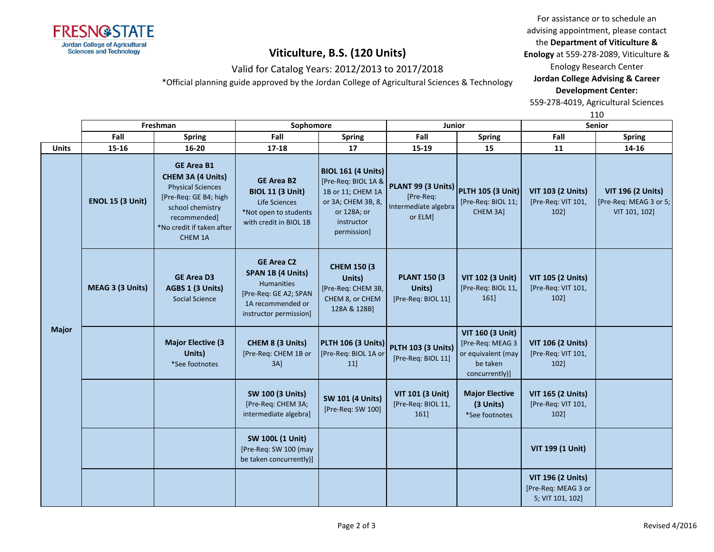

## Valid for Catalog Years: 2012/2013 to 2017/2018

\*Official planning guide approved by the Jordan College of Agricultural Sciences & Technology

For assistance or to schedule an advising appointment, please contact the **Department of Viticulture &** 

**Enology** at 559-278-2089, Viticulture &

Enology Research Center

### **Jordan College Advising & Career Development Center:**

559-278-4019, Agricultural Sciences

|              |                         | Freshman                                                                                                                                                                | Sophomore                                                                                                                    |                                                                                                                                         | Junior                                                             |                                                                                                 | ᅩᆚ<br><b>Senior</b>                                                 |                                                                     |
|--------------|-------------------------|-------------------------------------------------------------------------------------------------------------------------------------------------------------------------|------------------------------------------------------------------------------------------------------------------------------|-----------------------------------------------------------------------------------------------------------------------------------------|--------------------------------------------------------------------|-------------------------------------------------------------------------------------------------|---------------------------------------------------------------------|---------------------------------------------------------------------|
|              | Fall                    | <b>Spring</b>                                                                                                                                                           | Fall                                                                                                                         | <b>Spring</b>                                                                                                                           | Fall                                                               | <b>Spring</b>                                                                                   | Fall                                                                | <b>Spring</b>                                                       |
| <b>Units</b> | 15-16                   | $16 - 20$                                                                                                                                                               | $17 - 18$                                                                                                                    | 17                                                                                                                                      | 15-19                                                              | 15                                                                                              | 11                                                                  | 14-16                                                               |
| <b>Major</b> | <b>ENOL 15 (3 Unit)</b> | <b>GE Area B1</b><br>CHEM 3A (4 Units)<br><b>Physical Sciences</b><br>[Pre-Req: GE B4; high<br>school chemistry<br>recommended]<br>*No credit if taken after<br>CHEM 1A | <b>GE Area B2</b><br><b>BIOL 11 (3 Unit)</b><br>Life Sciences<br>*Not open to students<br>with credit in BIOL 1B             | <b>BIOL 161 (4 Units)</b><br>[Pre-Req: BIOL 1A &<br>1B or 11; CHEM 1A<br>or 3A; CHEM 3B, 8,<br>or 128A; or<br>instructor<br>permission] | PLANT 99 (3 Units)<br>[Pre-Req:<br>Intermediate algebra<br>or ELM] | <b>PLTH 105 (3 Unit)</b><br>[Pre-Req: BIOL 11;<br>CHEM 3A]                                      | <b>VIT 103 (2 Units)</b><br>[Pre-Req: VIT 101,<br>102]              | <b>VIT 196 (2 Units)</b><br>[Pre-Req: MEAG 3 or 5;<br>VIT 101, 102] |
|              | MEAG 3 (3 Units)        | <b>GE Area D3</b><br>AGBS 1 (3 Units)<br>Social Science                                                                                                                 | <b>GE Area C2</b><br>SPAN 1B (4 Units)<br>Humanities<br>[Pre-Req: GE A2; SPAN<br>1A recommended or<br>instructor permission] | <b>CHEM 150 (3)</b><br>Units)<br>[Pre-Req: CHEM 3B,<br>CHEM 8, or CHEM<br>128A & 128B]                                                  | <b>PLANT 150 (3)</b><br>Units)<br>[Pre-Req: BIOL 11]               | VIT 102 (3 Unit)<br>[Pre-Req: BIOL 11,<br>161]                                                  | <b>VIT 105 (2 Units)</b><br>[Pre-Req: VIT 101,<br>102               |                                                                     |
|              |                         | <b>Major Elective (3</b><br>Units)<br>*See footnotes                                                                                                                    | CHEM 8 (3 Units)<br>[Pre-Req: CHEM 1B or<br>$3A$ ]                                                                           | <b>PLTH 106 (3 Units)</b><br>[Pre-Req: BIOL 1A or<br>11                                                                                 | <b>PLTH 103 (3 Units)</b><br>[Pre-Req: BIOL 11]                    | <b>VIT 160 (3 Unit)</b><br>[Pre-Req: MEAG 3<br>or equivalent (may<br>be taken<br>concurrently)] | <b>VIT 106 (2 Units)</b><br>[Pre-Req: VIT 101,<br>102               |                                                                     |
|              |                         |                                                                                                                                                                         | <b>SW 100 (3 Units)</b><br>[Pre-Req: CHEM 3A;<br>intermediate algebra]                                                       | <b>SW 101 (4 Units)</b><br>[Pre-Req: SW 100]                                                                                            | <b>VIT 101 (3 Unit)</b><br>[Pre-Req: BIOL 11,<br>161]              | <b>Major Elective</b><br>(3 Units)<br>*See footnotes                                            | <b>VIT 165 (2 Units)</b><br>[Pre-Req: VIT 101,<br>102               |                                                                     |
|              |                         |                                                                                                                                                                         | <b>SW 100L (1 Unit)</b><br>[Pre-Req: SW 100 (may<br>be taken concurrently)]                                                  |                                                                                                                                         |                                                                    |                                                                                                 | VIT 199 (1 Unit)                                                    |                                                                     |
|              |                         |                                                                                                                                                                         |                                                                                                                              |                                                                                                                                         |                                                                    |                                                                                                 | <b>VIT 196 (2 Units)</b><br>[Pre-Req: MEAG 3 or<br>5; VIT 101, 102] |                                                                     |